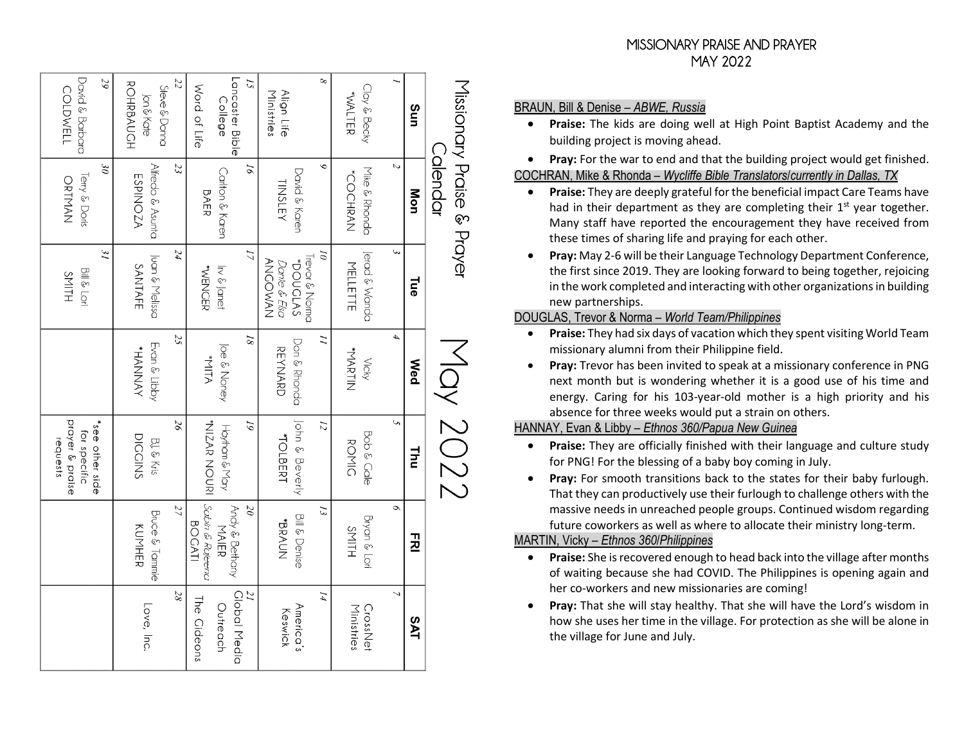| Lancaster Bible<br>$^{\circ}$<br>[5<br>Missionary Praise & Prayer<br>Word of Life<br>Clay & Becky<br>Align Life<br>Ministries<br><b>WALTER</b><br>College<br>Sun | Calendar<br>$\check{\circ}$<br>N<br>$\overline{\theta}$<br>Mike & Rhonda<br>Carlton & Karen<br>David & Karen<br><b>COCHRAN</b><br><b>TINSLEY</b><br>Mon<br><b>BAER</b> | E<br>17<br>$\tilde{\theta}$<br>Jerad & Wanda<br>Trevor & Norma<br>NAWOOMAN<br>POUCLAS<br>Dante & Elsa<br>MELLETTE<br><b>WENCER</b><br>In & Janet<br><b>Lue</b> | 4<br>$\overline{8}$<br>$\overline{a}$<br>Don & Rhonda<br>Joe & Noney<br><b>REYNARD</b><br><b>WARTIN</b><br><b>ATIM*</b><br><b>Vicky</b><br><b>Med</b> | $2202$ YoM<br>John & Beverly<br>S,<br>91<br><b>WIZAR NOURI</b><br>12<br>Hoyham & May<br>Bob & Cale<br><b>TOLBERT</b><br><b>ROMIC</b><br>Inu<br>I | Sabin & Rajeena<br>$\circ$<br>$\overline{\partial}$<br>Andy & Bethany<br>13<br><b>Bill &amp; Denise</b><br>Bryan & Lori<br>WOYOK<br><b>BOCATI</b><br>MAIER<br>SMITH<br>귕 |
|------------------------------------------------------------------------------------------------------------------------------------------------------------------|------------------------------------------------------------------------------------------------------------------------------------------------------------------------|----------------------------------------------------------------------------------------------------------------------------------------------------------------|-------------------------------------------------------------------------------------------------------------------------------------------------------|--------------------------------------------------------------------------------------------------------------------------------------------------|--------------------------------------------------------------------------------------------------------------------------------------------------------------------------|
|                                                                                                                                                                  |                                                                                                                                                                        |                                                                                                                                                                |                                                                                                                                                       |                                                                                                                                                  |                                                                                                                                                                          |
| <b>ROHRBAUCH</b><br>Steve & Donna                                                                                                                                | 23<br>Alfredo & Asunta<br><b>ESPINOZA</b>                                                                                                                              | 24<br>Juan & Melissa<br>SANTAFE                                                                                                                                | 25<br>Evan & Libby<br><b>HANNAY</b>                                                                                                                   | $9\zeta$<br><b>DICCINS</b><br>BJ. & Kris                                                                                                         | 27<br>Bruce & Tanmie<br><b>KUNHER</b>                                                                                                                                    |
| David & Barbara<br>29<br><b>COLDWELL</b>                                                                                                                         | $\partial \mathcal{E}$<br>Terry & Doris<br>ORTMAN                                                                                                                      | 31<br>Bill & Lori<br>SMITH                                                                                                                                     |                                                                                                                                                       | prayer & praise<br>*see other side<br>for specific<br>requests                                                                                   |                                                                                                                                                                          |

BRAUN, Bill & Denise – *ABWE, Russia*

• **Praise:** The kids are doing well at High Point Baptist Academy and the building project is moving ahead.

• **Pray:** For the war to end and that the building project would get finished. COCHRAN, Mike & Rhonda – *Wycliffe Bible Translators*/*currently in Dallas, TX*

- **Praise:** They are deeply grateful for the beneficial impact Care Teams have had in their department as they are completing their  $1<sup>st</sup>$  year together. Many staff have reported the encouragement they have received from these times of sharing life and praying for each other.
- **Pray:** May 2-6 will be their Language Technology Department Conference, the first since 2019. They are looking forward to being together, rejoicing in the work completed and interacting with other organizations in building new partnerships.

#### DOUGLAS, Trevor & Norma – *World Team/Philippines*

- **Praise:** They had six days of vacation which they spent visiting World Team missionary alumni from their Philippine field.
- **Pray:** Trevor has been invited to speak at a missionary conference in PNG next month but is wondering whether it is a good use of his time and energy. Caring for his 103-year-old mother is a high priority and his absence for three weeks would put a strain on others.

### HANNAY, Evan & Libby – *Ethnos 360/Papua New Guinea*

- **Praise:** They are officially finished with their language and culture study for PNG! For the blessing of a baby boy coming in July.
- **Pray:** For smooth transitions back to the states for their baby furlough. That they can productively use their furlough to challenge others with the massive needs in unreached people groups. Continued wisdom regarding future coworkers as well as where to allocate their ministry long-term.

# MARTIN, Vicky – *Ethnos 360*/*Philippines*

- **Praise:** She is recovered enough to head back into the village after months of waiting because she had COVID. The Philippines is opening again and her co-workers and new missionaries are coming!
- **Pray:** That she will stay healthy. That she will have the Lord's wisdom in how she uses her time in the village. For protection as she will be alone in the village for June and July.